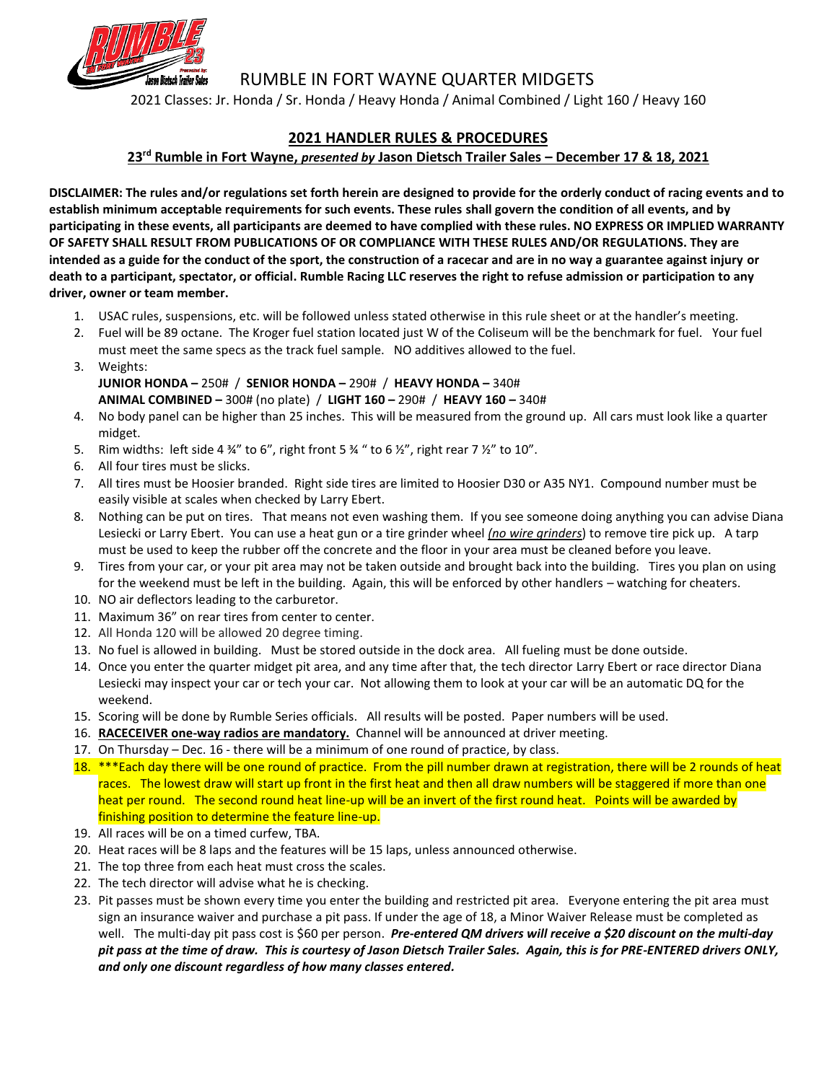

## RUMBLE IN FORT WAYNE QUARTER MIDGETS

2021 Classes: Jr. Honda / Sr. Honda / Heavy Honda / Animal Combined / Light 160 / Heavy 160

## **2021 HANDLER RULES & PROCEDURES**

**23 rd Rumble in Fort Wayne,** *presented by* **Jason Dietsch Trailer Sales – December 17 & 18, 2021**

**DISCLAIMER: The rules and/or regulations set forth herein are designed to provide for the orderly conduct of racing events and to establish minimum acceptable requirements for such events. These rules shall govern the condition of all events, and by participating in these events, all participants are deemed to have complied with these rules. NO EXPRESS OR IMPLIED WARRANTY OF SAFETY SHALL RESULT FROM PUBLICATIONS OF OR COMPLIANCE WITH THESE RULES AND/OR REGULATIONS. They are intended as a guide for the conduct of the sport, the construction of a racecar and are in no way a guarantee against injury or death to a participant, spectator, or official. Rumble Racing LLC reserves the right to refuse admission or participation to any driver, owner or team member.**

- 1. USAC rules, suspensions, etc. will be followed unless stated otherwise in this rule sheet or at the handler's meeting.
- 2. Fuel will be 89 octane. The Kroger fuel station located just W of the Coliseum will be the benchmark for fuel. Your fuel must meet the same specs as the track fuel sample. NO additives allowed to the fuel.
- 3. Weights:
	- **JUNIOR HONDA –** 250# / **SENIOR HONDA –** 290# / **HEAVY HONDA –** 340# **ANIMAL COMBINED –** 300# (no plate) / **LIGHT 160 –** 290# / **HEAVY 160 –** 340#
- 4. No body panel can be higher than 25 inches. This will be measured from the ground up. All cars must look like a quarter midget.
- 5. Rim widths: left side 4  $\frac{3}{4}$ " to 6", right front 5  $\frac{3}{4}$  " to 6  $\frac{1}{2}$ ", right rear 7  $\frac{1}{2}$ " to 10".
- 6. All four tires must be slicks.
- 7. All tires must be Hoosier branded. Right side tires are limited to Hoosier D30 or A35 NY1. Compound number must be easily visible at scales when checked by Larry Ebert.
- 8. Nothing can be put on tires. That means not even washing them. If you see someone doing anything you can advise Diana Lesiecki or Larry Ebert. You can use a heat gun or a tire grinder wheel *(no wire grinders*) to remove tire pick up. A tarp must be used to keep the rubber off the concrete and the floor in your area must be cleaned before you leave.
- 9. Tires from your car, or your pit area may not be taken outside and brought back into the building. Tires you plan on using for the weekend must be left in the building. Again, this will be enforced by other handlers – watching for cheaters.
- 10. NO air deflectors leading to the carburetor.
- 11. Maximum 36" on rear tires from center to center.
- 12. All Honda 120 will be allowed 20 degree timing.
- 13. No fuel is allowed in building. Must be stored outside in the dock area. All fueling must be done outside.
- 14. Once you enter the quarter midget pit area, and any time after that, the tech director Larry Ebert or race director Diana Lesiecki may inspect your car or tech your car. Not allowing them to look at your car will be an automatic DQ for the weekend.
- 15. Scoring will be done by Rumble Series officials. All results will be posted. Paper numbers will be used.
- 16. **RACECEIVER one-way radios are mandatory.** Channel will be announced at driver meeting.
- 17. On Thursday Dec. 16 there will be a minimum of one round of practice, by class.
- 18. \*\*\*Each day there will be one round of practice. From the pill number drawn at registration, there will be 2 rounds of heat races. The lowest draw will start up front in the first heat and then all draw numbers will be staggered if more than one heat per round. The second round heat line-up will be an invert of the first round heat. Points will be awarded by finishing position to determine the feature line-up.
- 19. All races will be on a timed curfew, TBA.
- 20. Heat races will be 8 laps and the features will be 15 laps, unless announced otherwise.
- 21. The top three from each heat must cross the scales.
- 22. The tech director will advise what he is checking.
- 23. Pit passes must be shown every time you enter the building and restricted pit area. Everyone entering the pit area must sign an insurance waiver and purchase a pit pass. If under the age of 18, a Minor Waiver Release must be completed as well. The multi-day pit pass cost is \$60 per person. *Pre-entered QM drivers will receive a \$20 discount on the multi-day pit pass at the time of draw. This is courtesy of Jason Dietsch Trailer Sales. Again, this is for PRE-ENTERED drivers ONLY, and only one discount regardless of how many classes entered.*